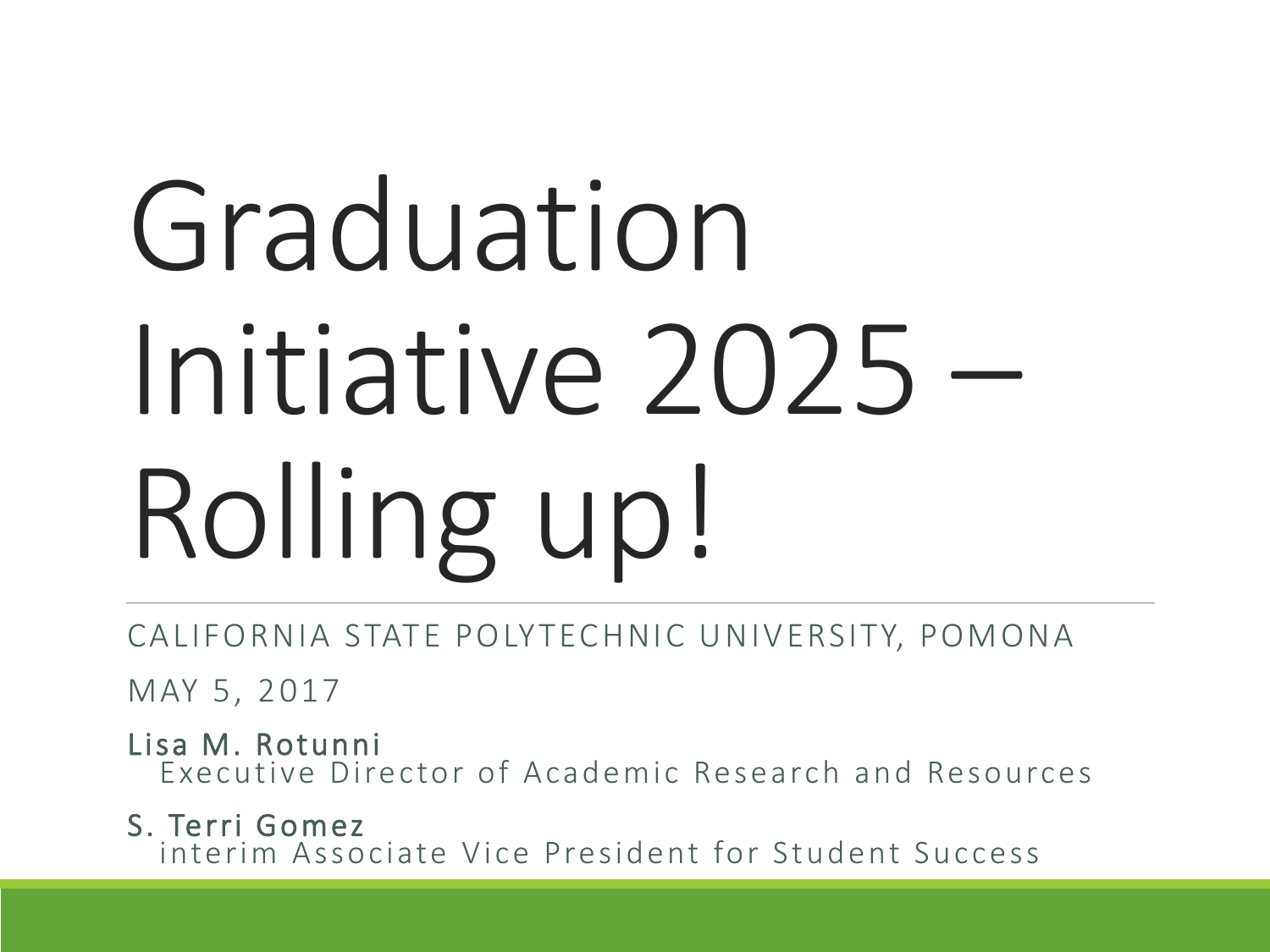# Graduation Initiative 2025 – Rolling up!

CALIFORNIA STATE POLYTECHNIC UNIVERSITY, POMONA

MAY 5, 2017

Lisa M. Rotunni Executive Director of Academic Research and Resources

S. Terri Gomez interim Associate Vice President for Student Success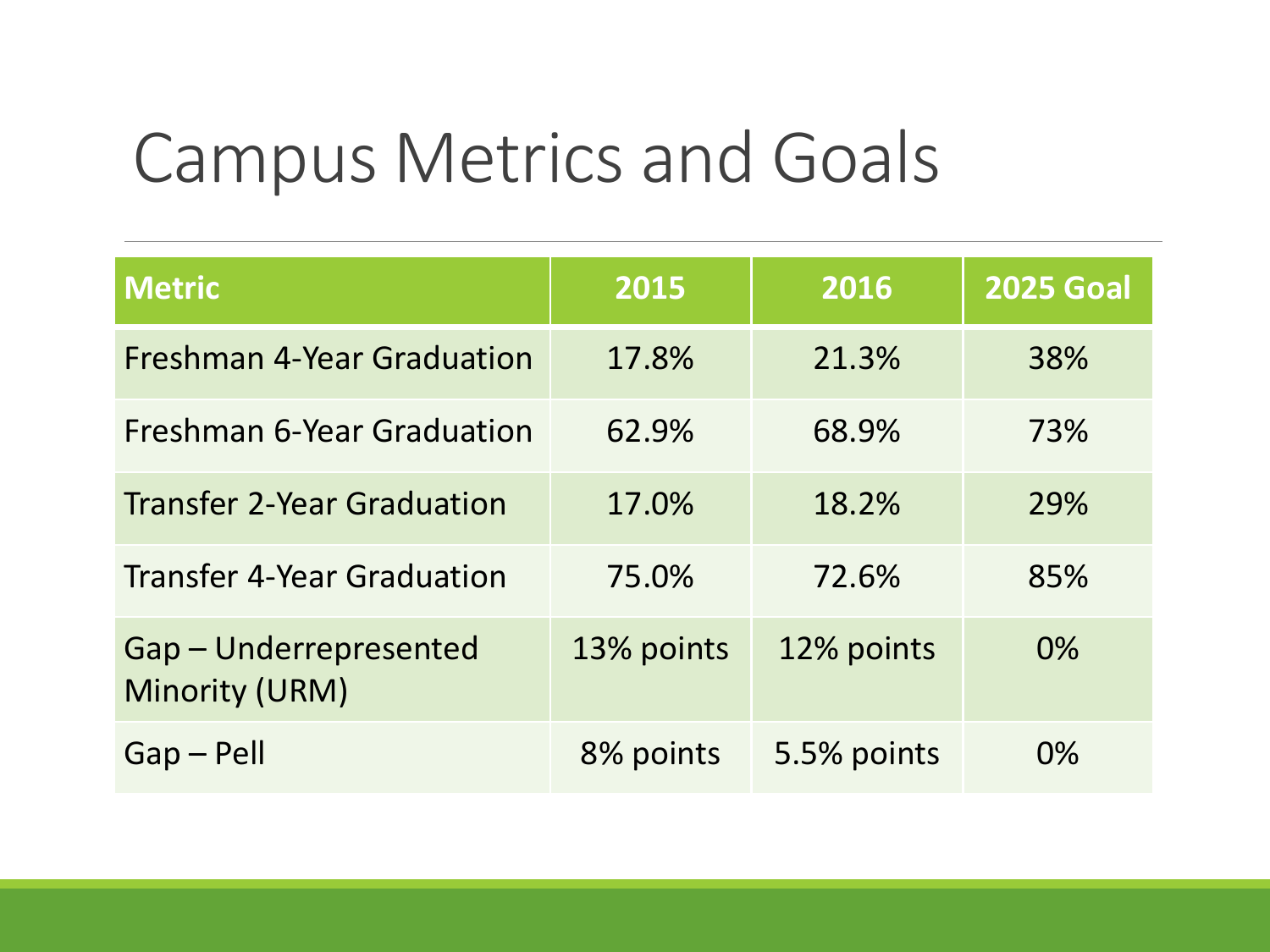#### Campus Metrics and Goals

| <b>Metric</b>                                   | 2015       | 2016        | <b>2025 Goal</b> |
|-------------------------------------------------|------------|-------------|------------------|
| <b>Freshman 4-Year Graduation</b>               | 17.8%      | 21.3%       | 38%              |
| <b>Freshman 6-Year Graduation</b>               | 62.9%      | 68.9%       | 73%              |
| <b>Transfer 2-Year Graduation</b>               | 17.0%      | 18.2%       | 29%              |
| <b>Transfer 4-Year Graduation</b>               | 75.0%      | 72.6%       | 85%              |
| Gap - Underrepresented<br><b>Minority (URM)</b> | 13% points | 12% points  | $0\%$            |
| $Gap - Pell$                                    | 8% points  | 5.5% points | 0%               |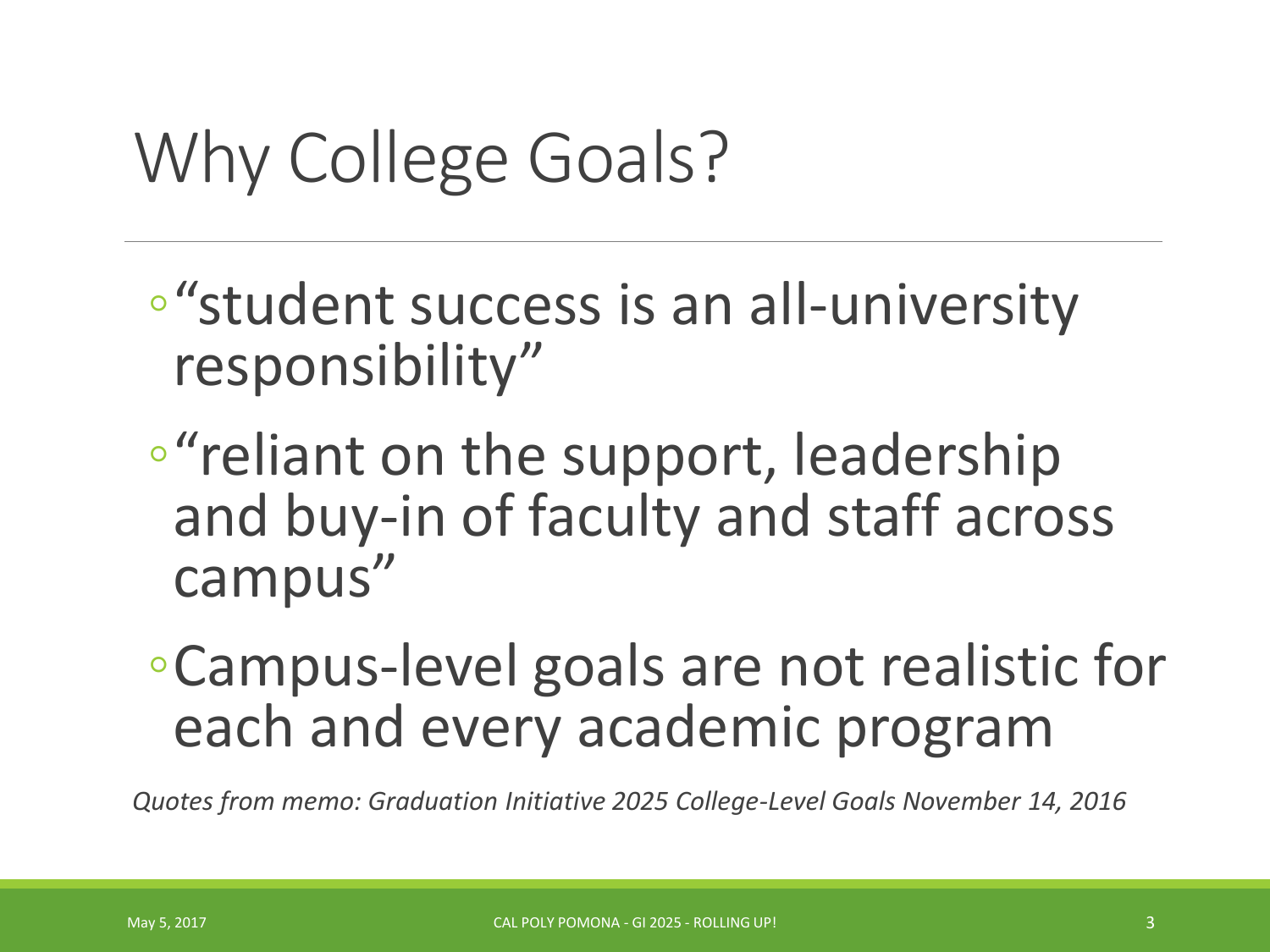#### Why College Goals?

- ◦"student success is an all-university responsibility"
- ◦"reliant on the support, leadership and buy-in of faculty and staff across campus"
- ◦Campus-level goals are not realistic for each and every academic program

*Quotes from memo: Graduation Initiative 2025 College-Level Goals November 14, 2016*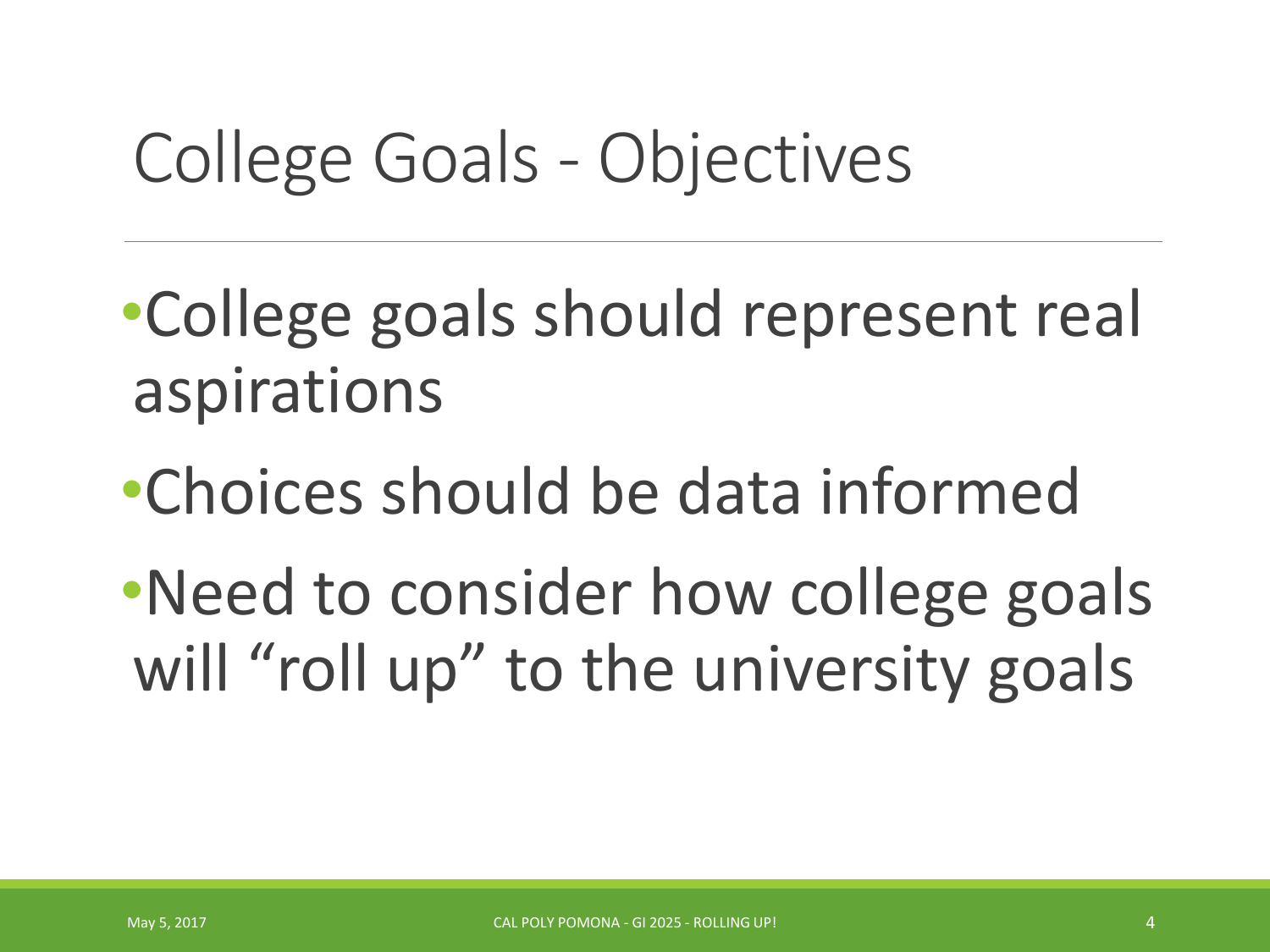## College Goals - Objectives

•College goals should represent real aspirations

•Choices should be data informed

•Need to consider how college goals will "roll up" to the university goals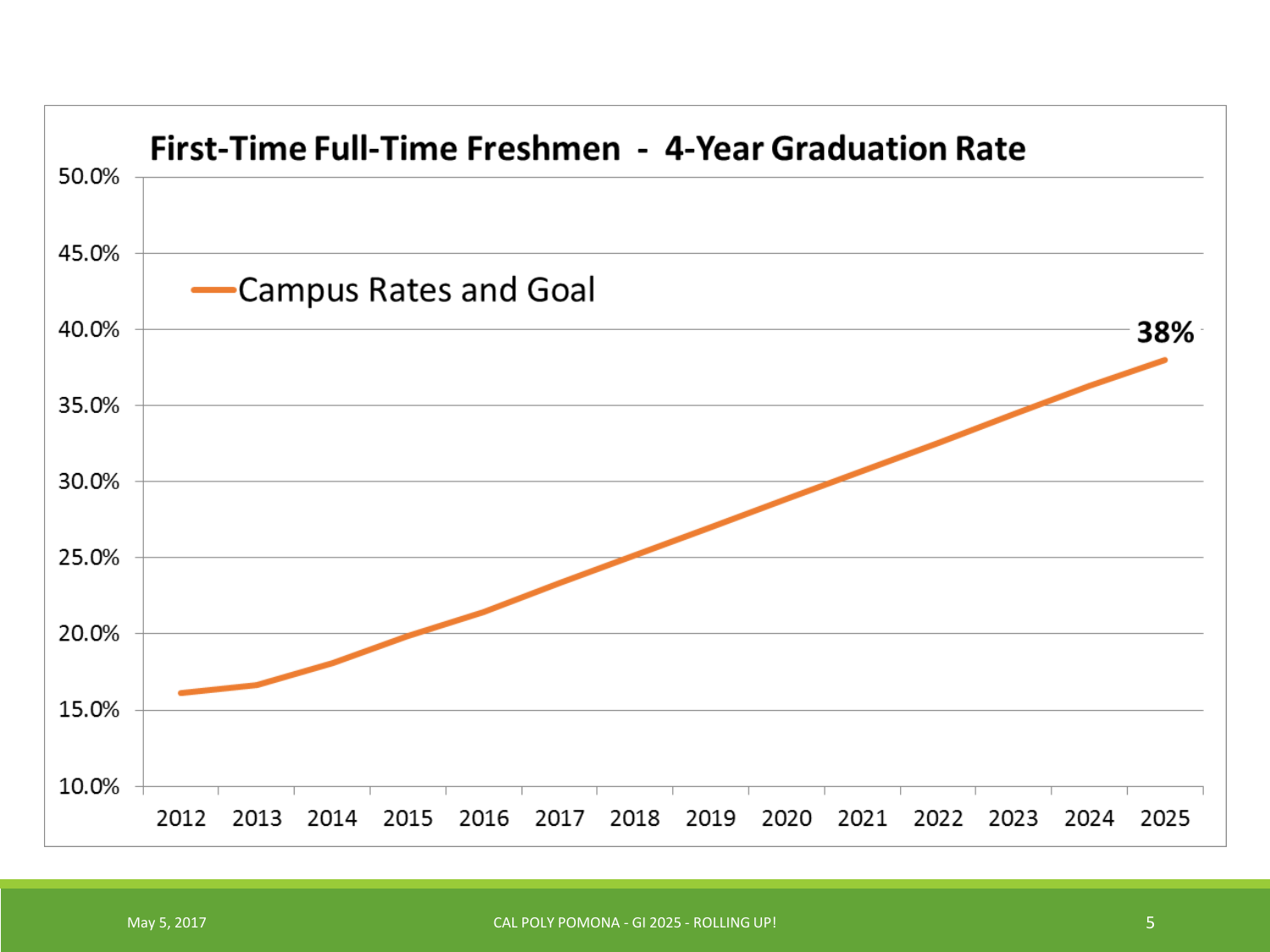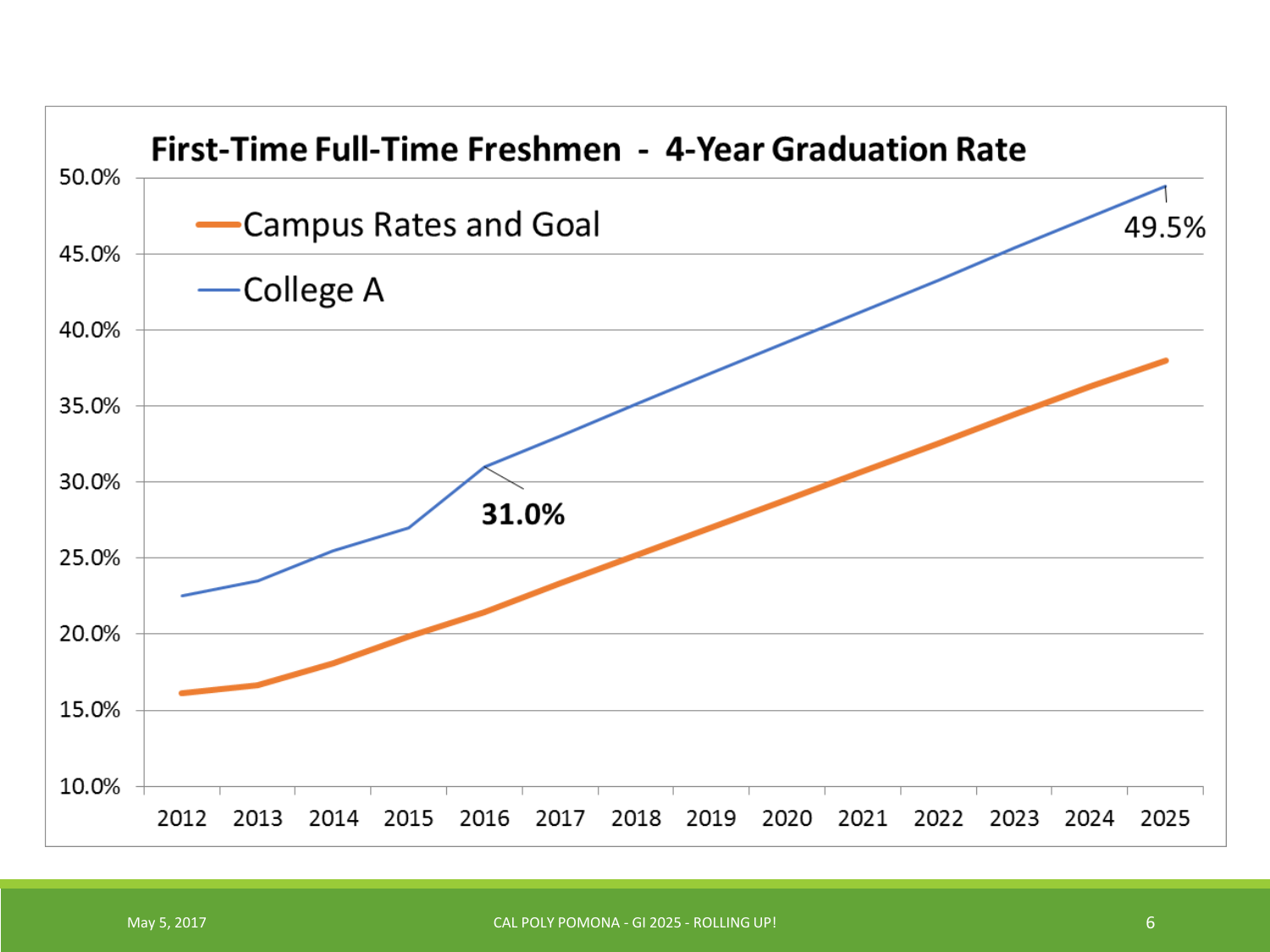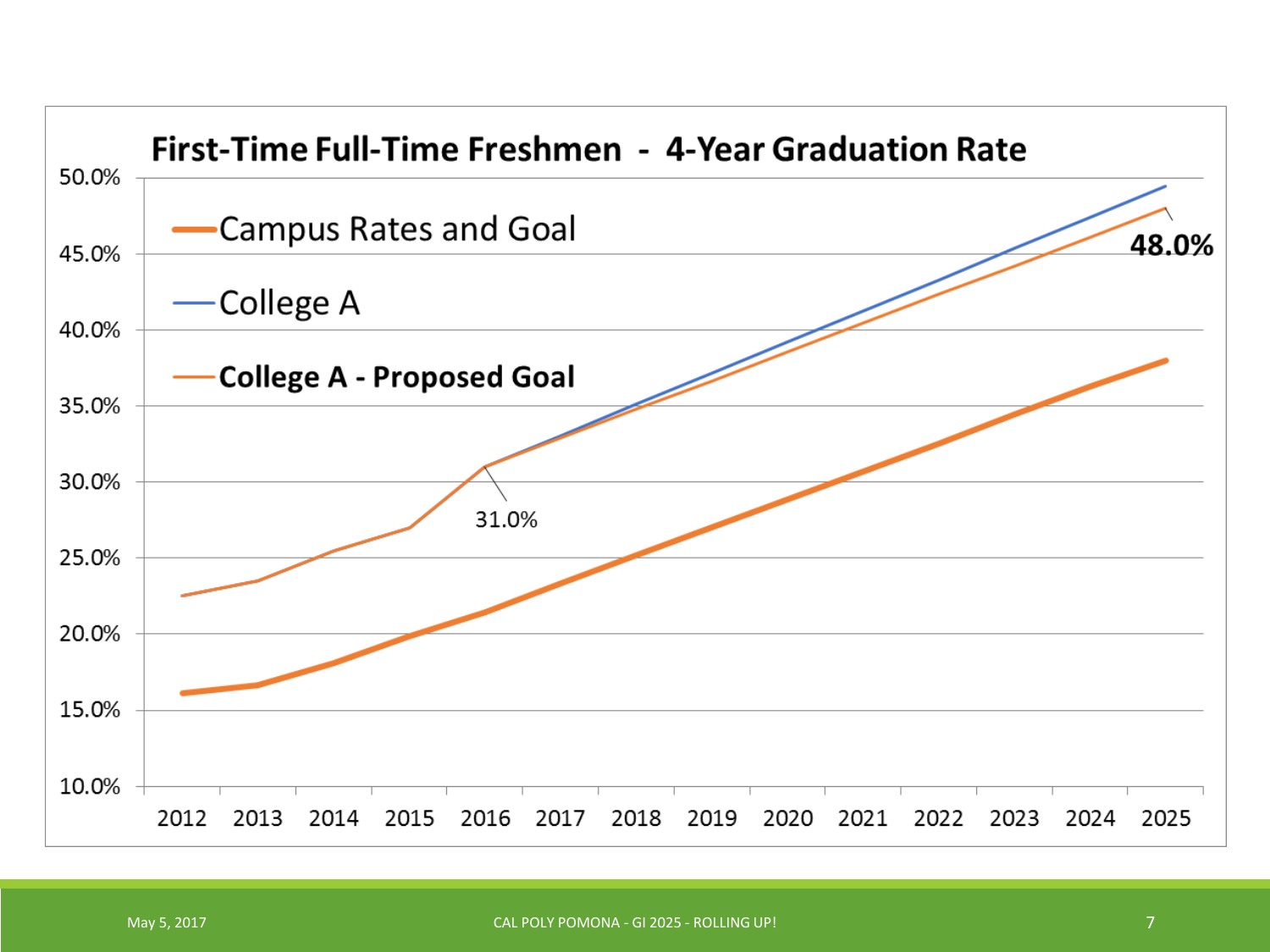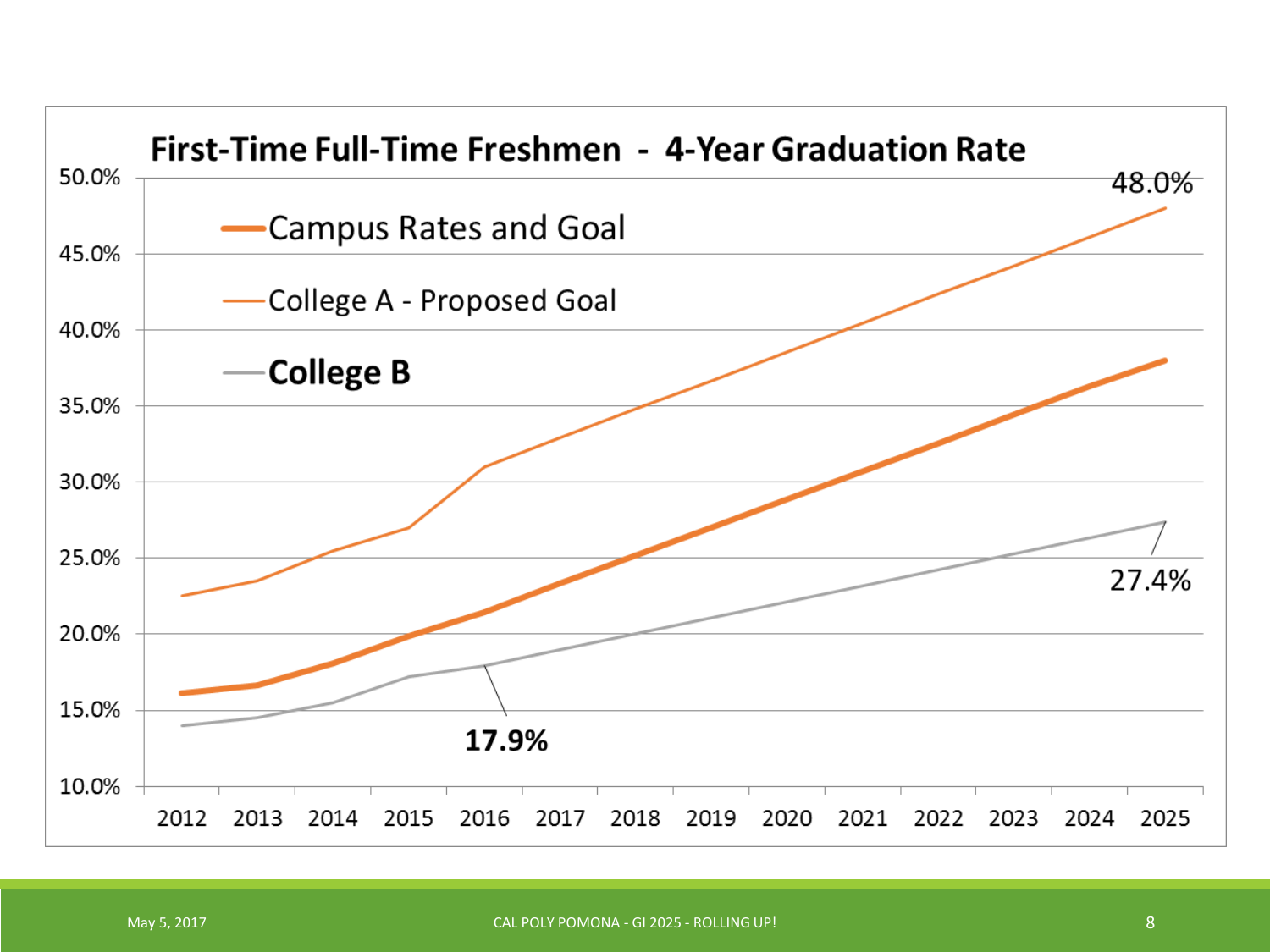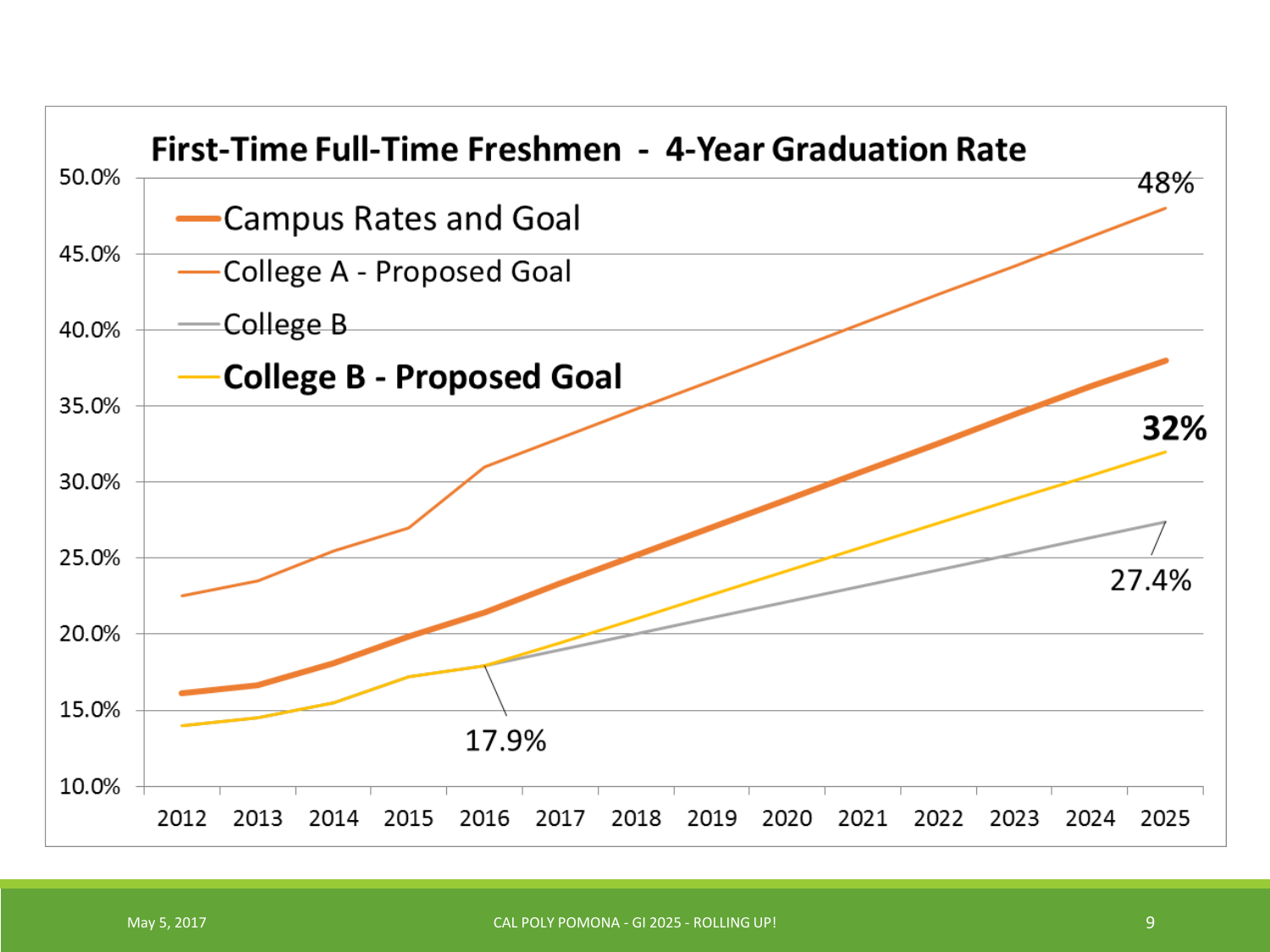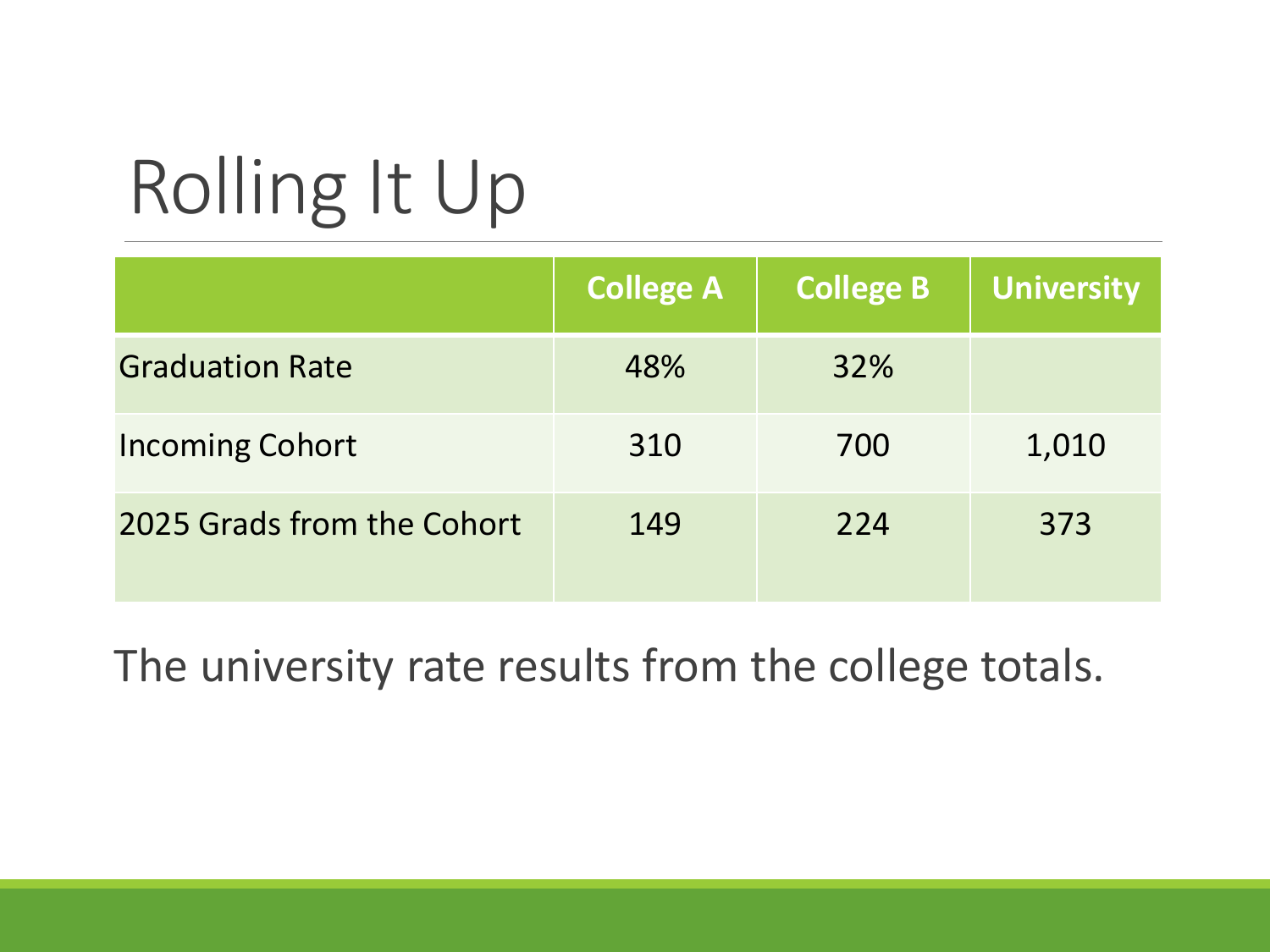# Rolling It Up

|                            | <b>College A</b> | <b>College B</b> | <b>University</b> |
|----------------------------|------------------|------------------|-------------------|
| <b>Graduation Rate</b>     | 48%              | 32%              |                   |
| <b>Incoming Cohort</b>     | 310              | 700              | 1,010             |
| 2025 Grads from the Cohort | 149              | 224              | 373               |

The university rate results from the college totals.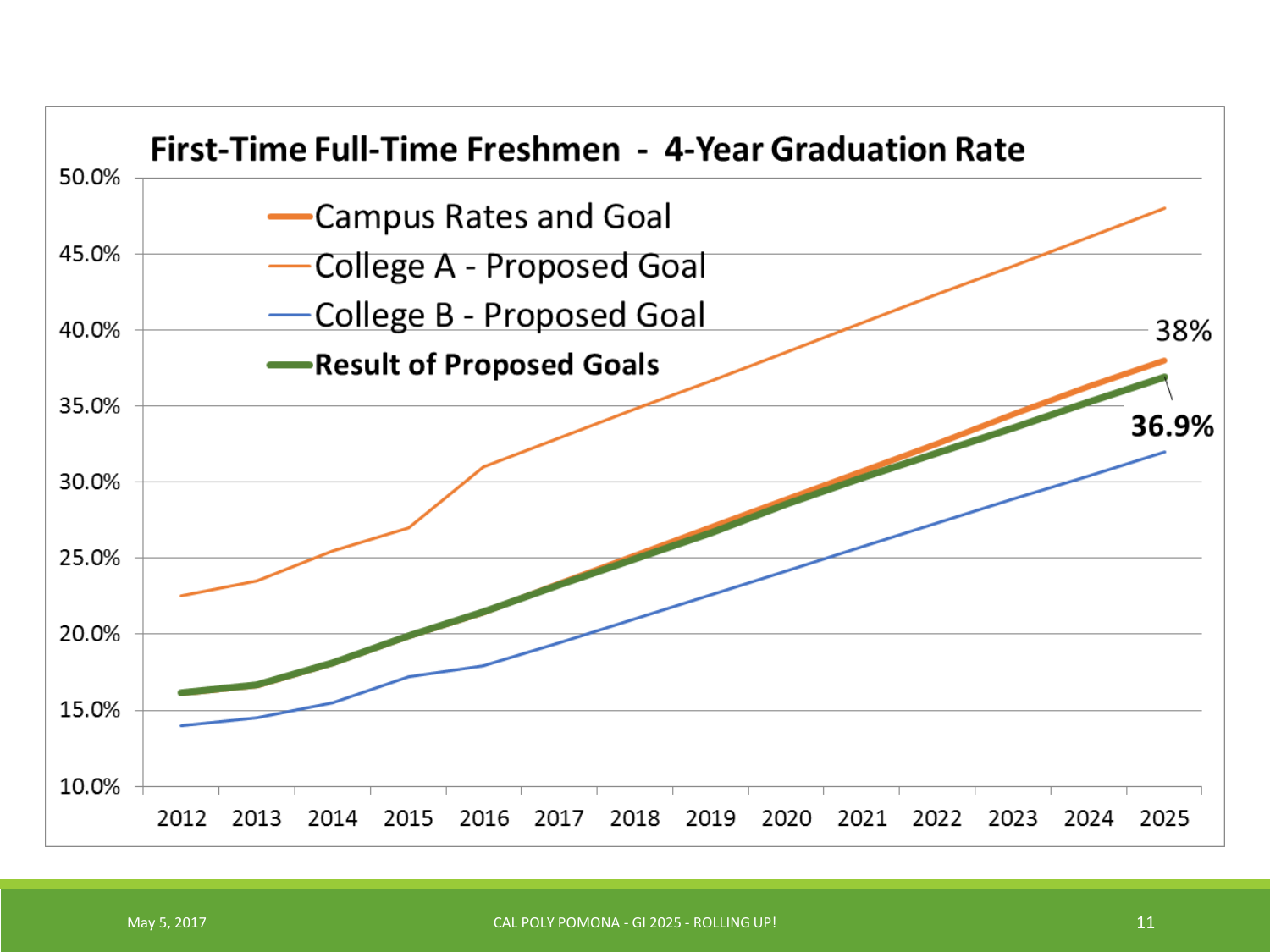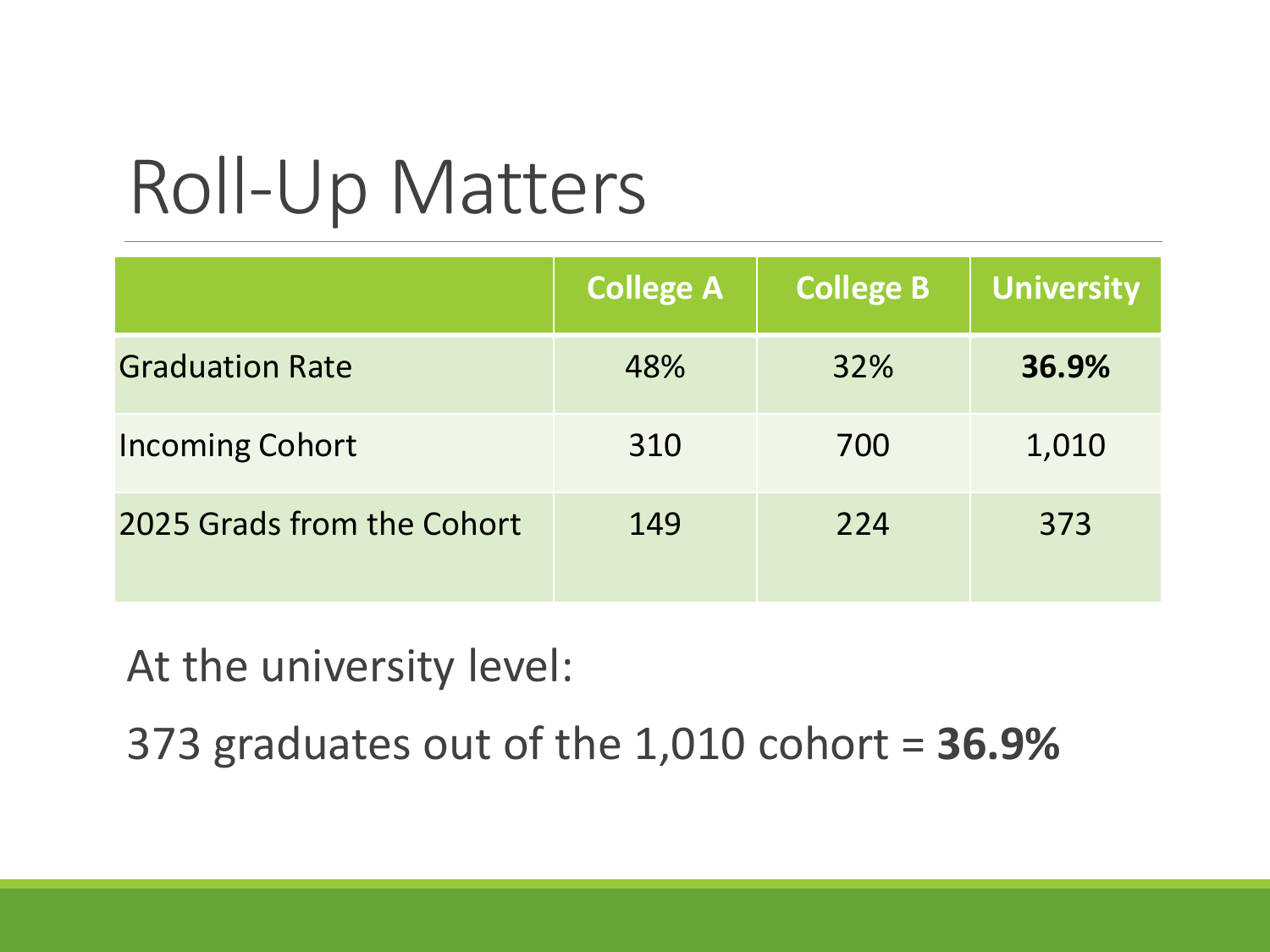## Roll-Up Matters

|                            | <b>College A</b> | <b>College B</b> | University |
|----------------------------|------------------|------------------|------------|
| <b>Graduation Rate</b>     | 48%              | 32%              | 36.9%      |
| <b>Incoming Cohort</b>     | 310              | 700              | 1,010      |
| 2025 Grads from the Cohort | 149              | 224              | 373        |

At the university level:

373 graduates out of the 1,010 cohort = **36.9%**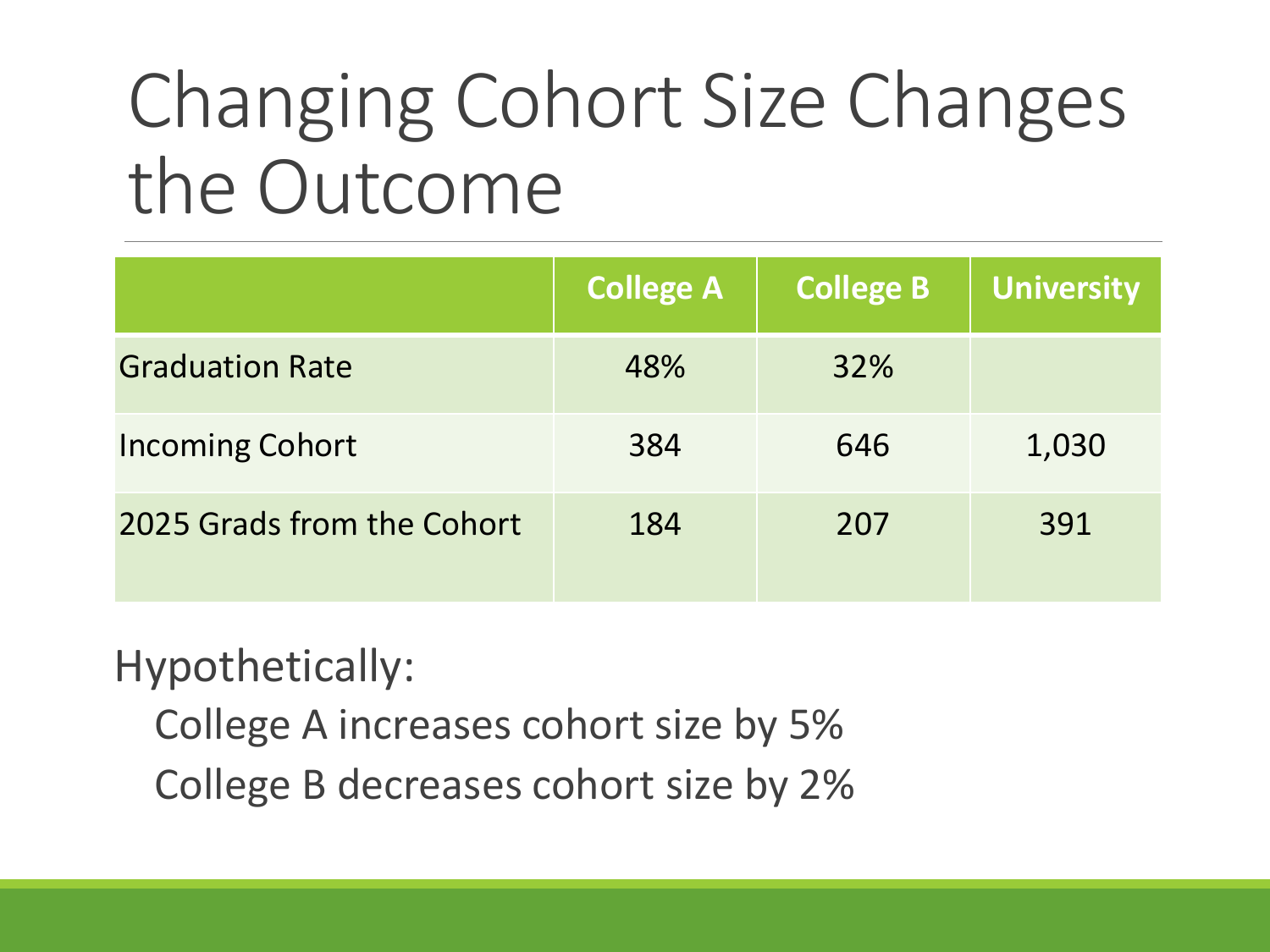## Changing Cohort Size Changes the Outcome

|                            | <b>College A</b> | <b>College B</b> | University |
|----------------------------|------------------|------------------|------------|
| <b>Graduation Rate</b>     | 48%              | 32%              |            |
| <b>Incoming Cohort</b>     | 384              | 646              | 1,030      |
| 2025 Grads from the Cohort | 184              | 207              | 391        |

Hypothetically:

College A increases cohort size by 5% College B decreases cohort size by 2%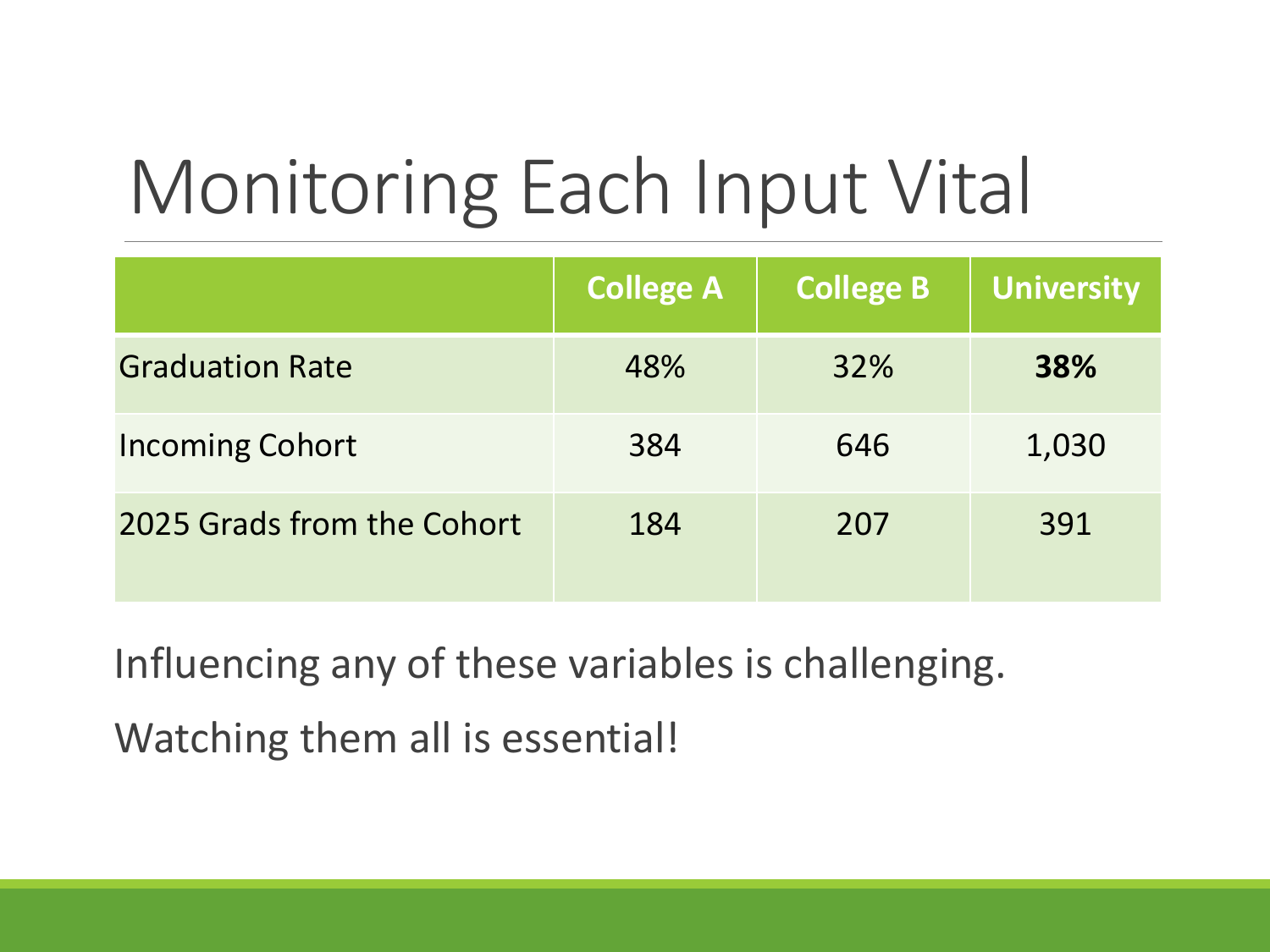# Monitoring Each Input Vital

|                            | <b>College A</b> | <b>College B</b> | <b>University</b> |
|----------------------------|------------------|------------------|-------------------|
| <b>Graduation Rate</b>     | 48%              | 32%              | <b>38%</b>        |
| <b>Incoming Cohort</b>     | 384              | 646              | 1,030             |
| 2025 Grads from the Cohort | 184              | 207              | 391               |

Influencing any of these variables is challenging. Watching them all is essential!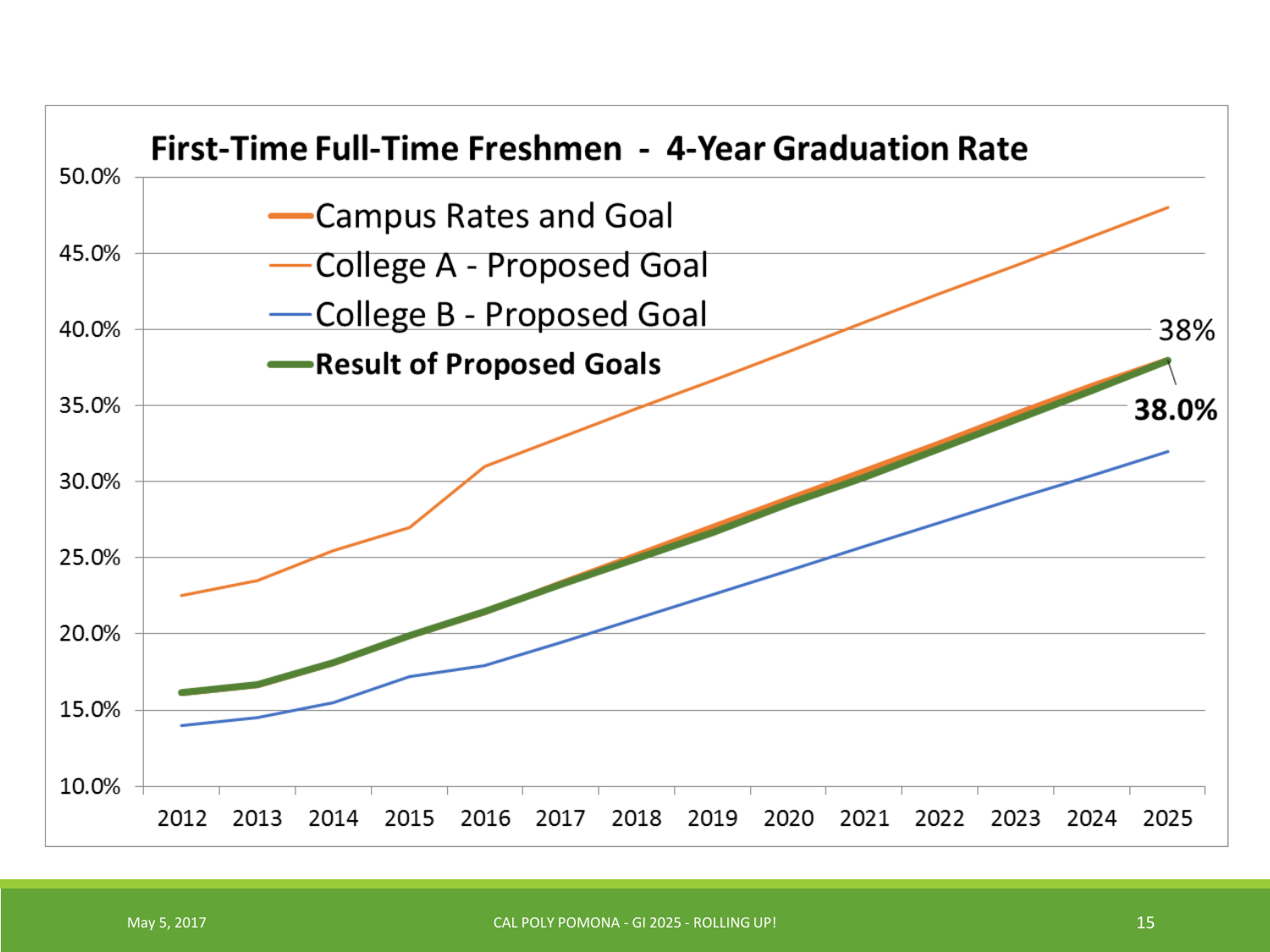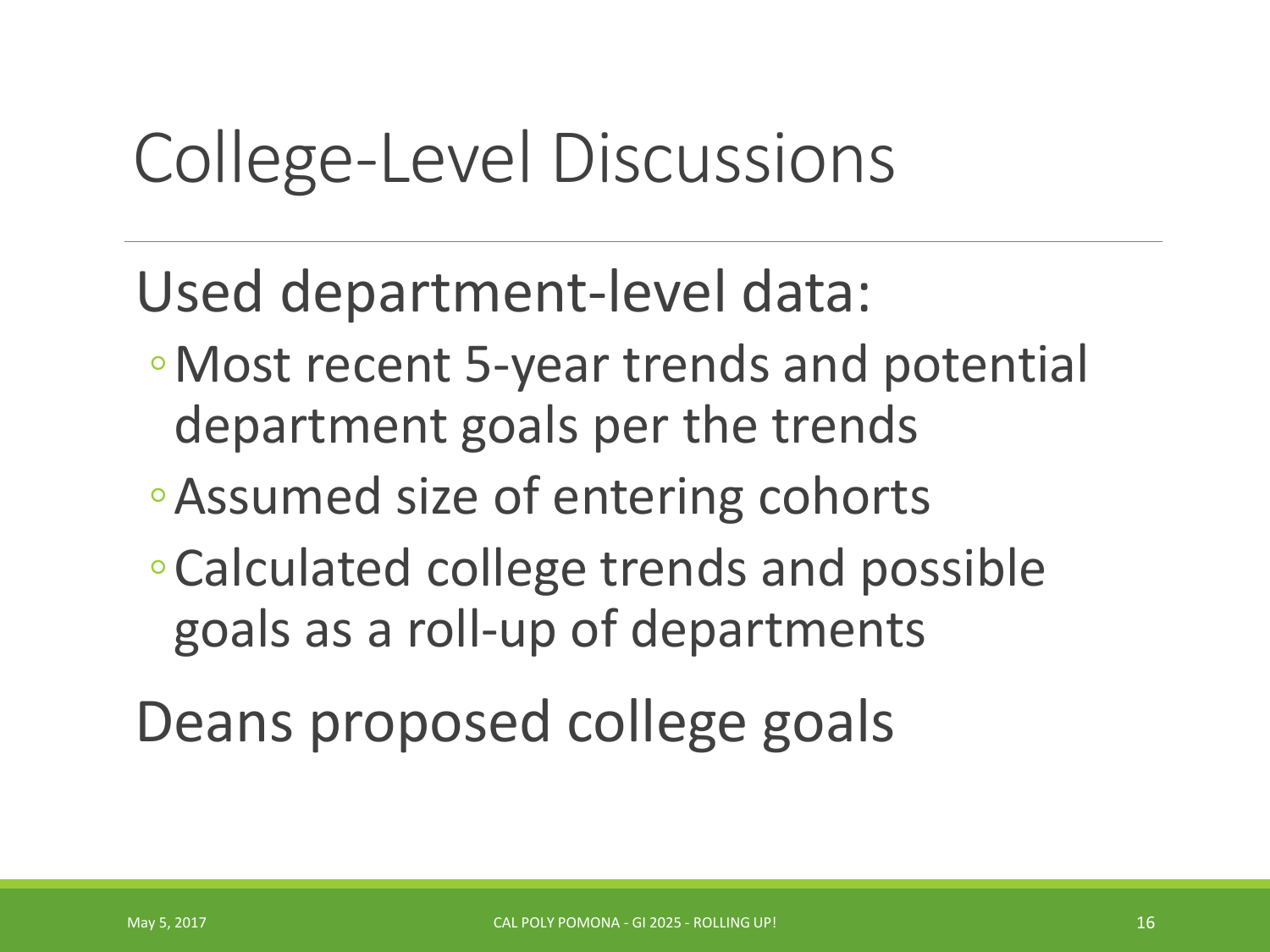#### College-Level Discussions

Used department-level data:

- ◦Most recent 5-year trends and potential department goals per the trends
- ◦Assumed size of entering cohorts
- ◦Calculated college trends and possible goals as a roll-up of departments

Deans proposed college goals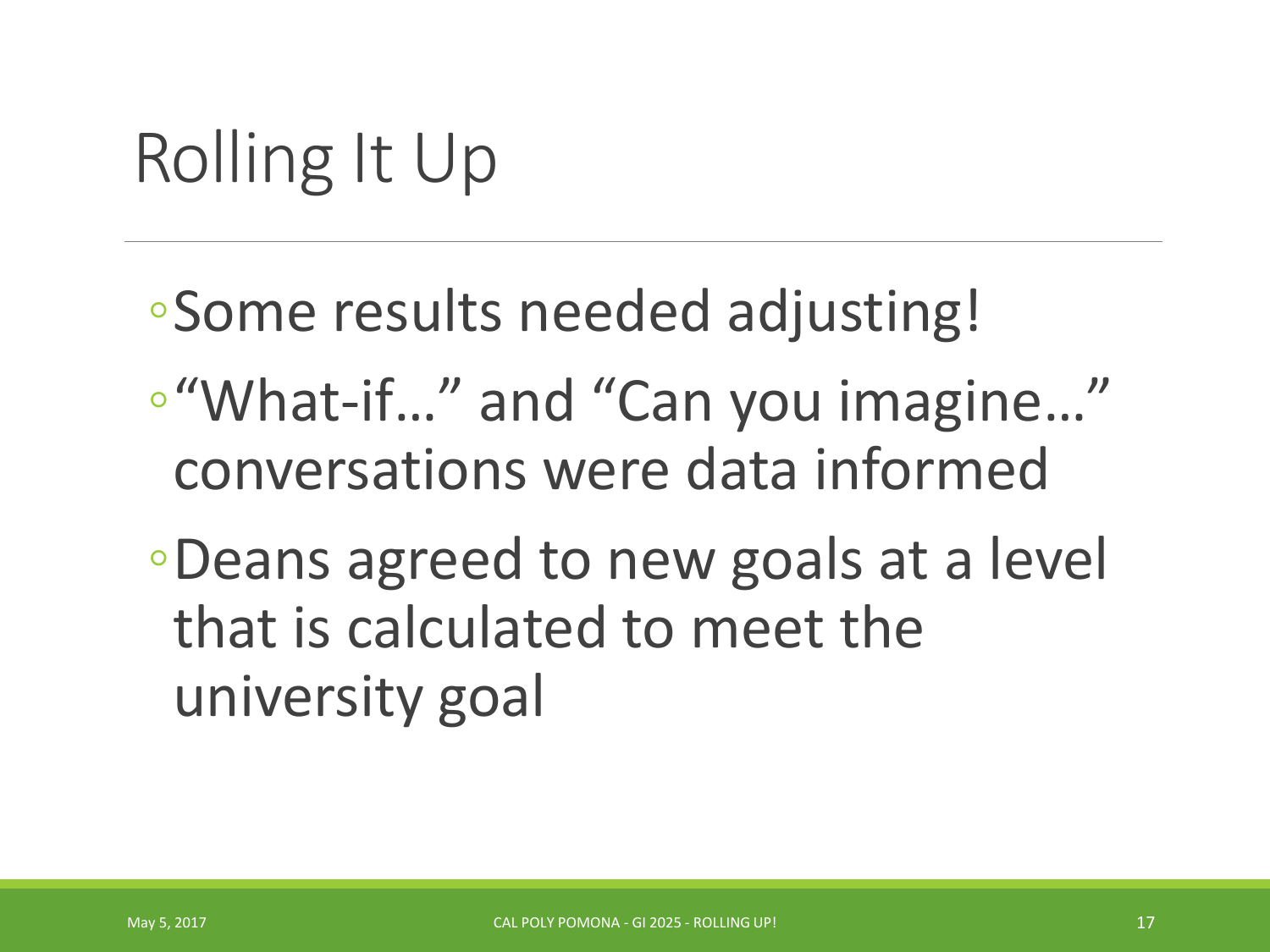## Rolling It Up

- ◦Some results needed adjusting!
- ◦"What-if…" and "Can you imagine…" conversations were data informed
- ◦Deans agreed to new goals at a level that is calculated to meet the university goal